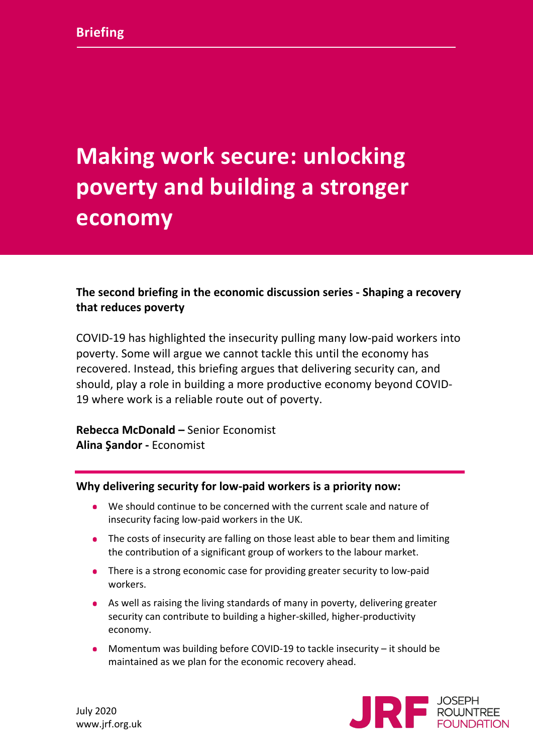# **Making work secure: unlocking poverty and building a stronger economy**

# **The second briefing in the economic discussion series - Shaping a recovery that reduces poverty**

COVID-19 has highlighted the insecurity pulling many low-paid workers into poverty. Some will argue we cannot tackle this until the economy has recovered. Instead, this briefing argues that delivering security can, and should, play a role in building a more productive economy beyond COVID-19 where work is a reliable route out of poverty.

**Rebecca McDonald –** Senior Economist **Alina Şandor -** Economist

## **Why delivering security for low-paid workers is a priority now:**

- We should continue to be concerned with the current scale and nature of insecurity facing low-paid workers in the UK.
- The costs of insecurity are falling on those least able to bear them and limiting the contribution of a significant group of workers to the labour market.
- There is a strong economic case for providing greater security to low-paid workers.
- As well as raising the living standards of many in poverty, delivering greater security can contribute to building a higher-skilled, higher-productivity economy.
- Momentum was building before COVID-19 to tackle insecurity it should be maintained as we plan for the economic recovery ahead.

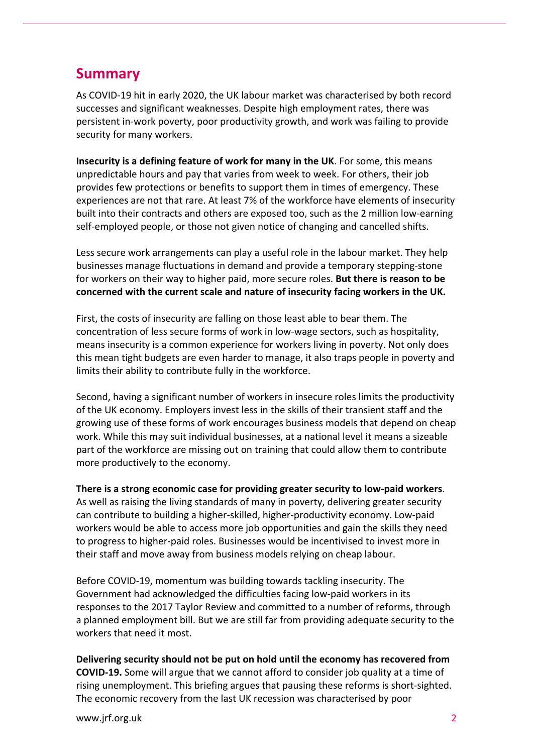# **Summary**

As COVID-19 hit in early 2020, the UK labour market was characterised by both record successes and significant weaknesses. Despite high employment rates, there was persistent in-work poverty, poor productivity growth, and work was failing to provide security for many workers.

**Insecurity is a defining feature of work for many in the UK**. For some, this means unpredictable hours and pay that varies from week to week. For others, their job provides few protections or benefits to support them in times of emergency. These experiences are not that rare. At least 7% of the workforce have elements of insecurity built into their contracts and others are exposed too, such as the 2 million low-earning self-employed people, or those not given notice of changing and cancelled shifts.

Less secure work arrangements can play a useful role in the labour market. They help businesses manage fluctuations in demand and provide a temporary stepping-stone for workers on their way to higher paid, more secure roles. **But there is reason to be concerned with the current scale and nature of insecurity facing workers in the UK.**

First, the costs of insecurity are falling on those least able to bear them. The concentration of less secure forms of work in low-wage sectors, such as hospitality, means insecurity is a common experience for workers living in poverty. Not only does this mean tight budgets are even harder to manage, it also traps people in poverty and limits their ability to contribute fully in the workforce.

Second, having a significant number of workers in insecure roles limits the productivity of the UK economy. Employers invest less in the skills of their transient staff and the growing use of these forms of work encourages business models that depend on cheap work. While this may suit individual businesses, at a national level it means a sizeable part of the workforce are missing out on training that could allow them to contribute more productively to the economy.

**There is a strong economic case for providing greater security to low-paid workers**. As well as raising the living standards of many in poverty, delivering greater security can contribute to building a higher-skilled, higher-productivity economy. Low-paid workers would be able to access more job opportunities and gain the skills they need to progress to higher-paid roles. Businesses would be incentivised to invest more in their staff and move away from business models relying on cheap labour.

Before COVID-19, momentum was building towards tackling insecurity. The Government had acknowledged the difficulties facing low-paid workers in its responses to the 2017 Taylor Review and committed to a number of reforms, through a planned employment bill. But we are still far from providing adequate security to the workers that need it most.

**Delivering security should not be put on hold until the economy has recovered from COVID-19.** Some will argue that we cannot afford to consider job quality at a time of rising unemployment. This briefing argues that pausing these reforms is short-sighted. The economic recovery from the last UK recession was characterised by poor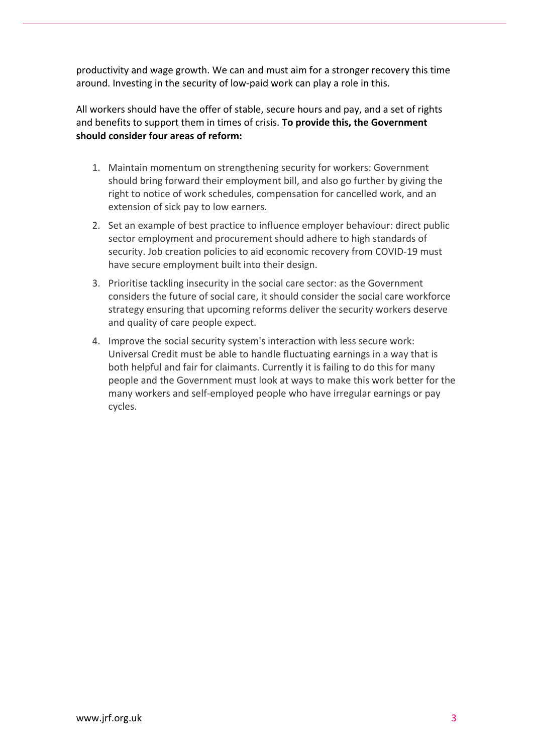productivity and wage growth. We can and must aim for a stronger recovery this time around. Investing in the security of low-paid work can play a role in this.

All workers should have the offer of stable, secure hours and pay, and a set of rights and benefits to support them in times of crisis. **To provide this, the Government should consider four areas of reform:**

- 1. Maintain momentum on strengthening security for workers: Government should bring forward their employment bill, and also go further by giving the right to notice of work schedules, compensation for cancelled work, and an extension of sick pay to low earners.
- 2. Set an example of best practice to influence employer behaviour: direct public sector employment and procurement should adhere to high standards of security. Job creation policies to aid economic recovery from COVID-19 must have secure employment built into their design.
- 3. Prioritise tackling insecurity in the social care sector: as the Government considers the future of social care, it should consider the social care workforce strategy ensuring that upcoming reforms deliver the security workers deserve and quality of care people expect.
- 4. Improve the social security system's interaction with less secure work: Universal Credit must be able to handle fluctuating earnings in a way that is both helpful and fair for claimants. Currently it is failing to do this for many people and the Government must look at ways to make this work better for the many workers and self-employed people who have irregular earnings or pay cycles.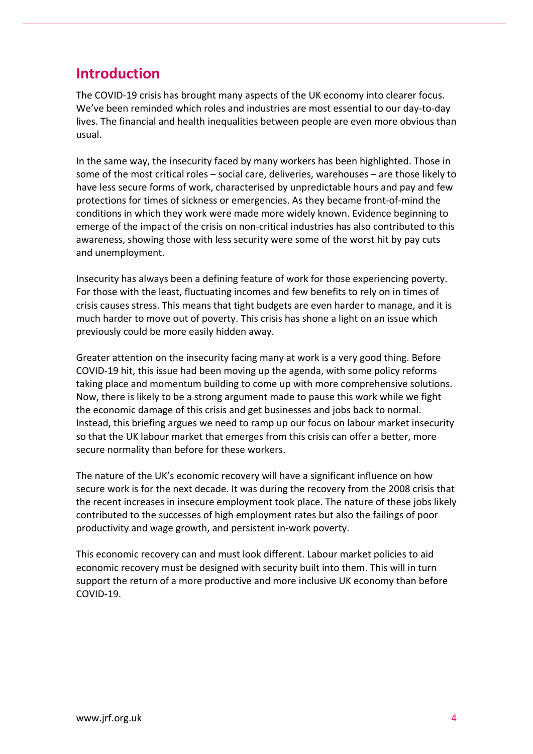# **Introduction**

The COVID-19 crisis has brought many aspects of the UK economy into clearer focus. We've been reminded which roles and industries are most essential to our day-to-day lives. The financial and health inequalities between people are even more obvious than usual.

In the same way, the insecurity faced by many workers has been highlighted. Those in some of the most critical roles – social care, deliveries, warehouses – are those likely to have less secure forms of work, characterised by unpredictable hours and pay and few protections for times of sickness or emergencies. As they became front-of-mind the conditions in which they work were made more widely known. Evidence beginning to emerge of the impact of the crisis on non-critical industries has also contributed to this awareness, showing those with less security were some of the worst hit by pay cuts and unemployment.

Insecurity has always been a defining feature of work for those experiencing poverty. For those with the least, fluctuating incomes and few benefits to rely on in times of crisis causes stress. This means that tight budgets are even harder to manage, and it is much harder to move out of poverty. This crisis has shone a light on an issue which previously could be more easily hidden away.

Greater attention on the insecurity facing many at work is a very good thing. Before COVID-19 hit, this issue had been moving up the agenda, with some policy reforms taking place and momentum building to come up with more comprehensive solutions. Now, there is likely to be a strong argument made to pause this work while we fight the economic damage of this crisis and get businesses and jobs back to normal. Instead, this briefing argues we need to ramp up our focus on labour market insecurity so that the UK labour market that emerges from this crisis can offer a better, more secure normality than before for these workers.

The nature of the UK's economic recovery will have a significant influence on how secure work is for the next decade. It was during the recovery from the 2008 crisis that the recent increases in insecure employment took place. The nature of these jobs likely contributed to the successes of high employment rates but also the failings of poor productivity and wage growth, and persistent in-work poverty.

This economic recovery can and must look different. Labour market policies to aid economic recovery must be designed with security built into them. This will in turn support the return of a more productive and more inclusive UK economy than before COVID-19.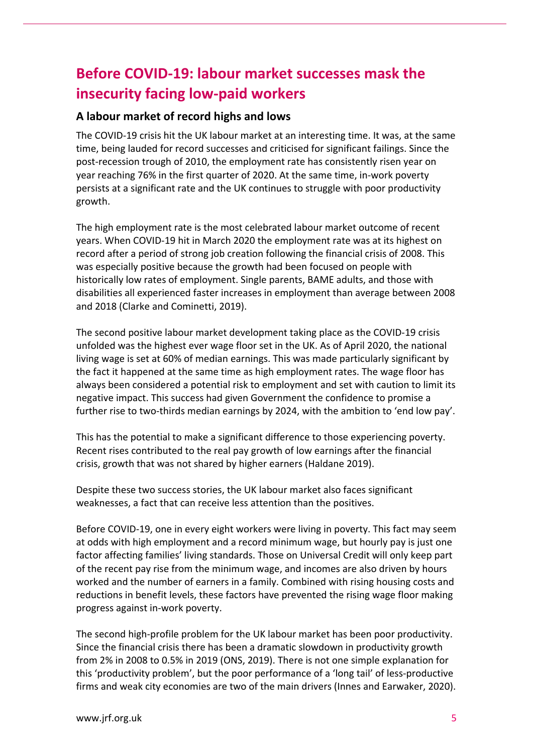# **Before COVID-19: labour market successes mask the insecurity facing low-paid workers**

# **A labour market of record highs and lows**

The COVID-19 crisis hit the UK labour market at an interesting time. It was, at the same time, being lauded for record successes and criticised for significant failings. Since the post-recession trough of 2010, the employment rate has consistently risen year on year reaching 76% in the first quarter of 2020. At the same time, in-work poverty persists at a significant rate and the UK continues to struggle with poor productivity growth.

The high employment rate is the most celebrated labour market outcome of recent years. When COVID-19 hit in March 2020 the employment rate was at its highest on record after a period of strong job creation following the financial crisis of 2008. This was especially positive because the growth had been focused on people with historically low rates of employment. Single parents, BAME adults, and those with disabilities all experienced faster increases in employment than average between 2008 and 2018 (Clarke and Cominetti, 2019).

The second positive labour market development taking place as the COVID-19 crisis unfolded was the highest ever wage floor set in the UK. As of April 2020, the national living wage is set at 60% of median earnings. This was made particularly significant by the fact it happened at the same time as high employment rates. The wage floor has always been considered a potential risk to employment and set with caution to limit its negative impact. This success had given Government the confidence to promise a further rise to two-thirds median earnings by 2024, with the ambition to 'end low pay'.

This has the potential to make a significant difference to those experiencing poverty. Recent rises contributed to the real pay growth of low earnings after the financial crisis, growth that was not shared by higher earners (Haldane 2019).

Despite these two success stories, the UK labour market also faces significant weaknesses, a fact that can receive less attention than the positives.

Before COVID-19, one in every eight workers were living in poverty. This fact may seem at odds with high employment and a record minimum wage, but hourly pay is just one factor affecting families' living standards. Those on Universal Credit will only keep part of the recent pay rise from the minimum wage, and incomes are also driven by hours worked and the number of earners in a family. Combined with rising housing costs and reductions in benefit levels, these factors have prevented the rising wage floor making progress against in-work poverty.

The second high-profile problem for the UK labour market has been poor productivity. Since the financial crisis there has been a dramatic slowdown in productivity growth from 2% in 2008 to 0.5% in 2019 (ONS, 2019). There is not one simple explanation for this 'productivity problem', but the poor performance of a 'long tail' of less-productive firms and weak city economies are two of the main drivers (Innes and Earwaker, 2020).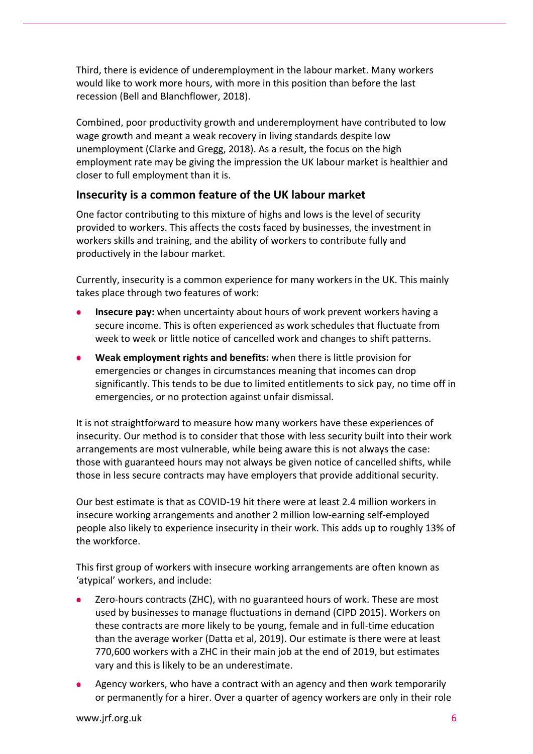Third, there is evidence of underemployment in the labour market. Many workers would like to work more hours, with more in this position than before the last recession (Bell and Blanchflower, 2018).

Combined, poor productivity growth and underemployment have contributed to low wage growth and meant a weak recovery in living standards despite low unemployment (Clarke and Gregg, 2018). As a result, the focus on the high employment rate may be giving the impression the UK labour market is healthier and closer to full employment than it is.

# **Insecurity is a common feature of the UK labour market**

One factor contributing to this mixture of highs and lows is the level of security provided to workers. This affects the costs faced by businesses, the investment in workers skills and training, and the ability of workers to contribute fully and productively in the labour market.

Currently, insecurity is a common experience for many workers in the UK. This mainly takes place through two features of work:

- **Insecure pay:** when uncertainty about hours of work prevent workers having a secure income. This is often experienced as work schedules that fluctuate from week to week or little notice of cancelled work and changes to shift patterns.
- **Weak employment rights and benefits:** when there is little provision for emergencies or changes in circumstances meaning that incomes can drop significantly. This tends to be due to limited entitlements to sick pay, no time off in emergencies, or no protection against unfair dismissal.

It is not straightforward to measure how many workers have these experiences of insecurity. Our method is to consider that those with less security built into their work arrangements are most vulnerable, while being aware this is not always the case: those with guaranteed hours may not always be given notice of cancelled shifts, while those in less secure contracts may have employers that provide additional security.

Our best estimate is that as COVID-19 hit there were at least 2.4 million workers in insecure working arrangements and another 2 million low-earning self-employed people also likely to experience insecurity in their work. This adds up to roughly 13% of the workforce.

This first group of workers with insecure working arrangements are often known as 'atypical' workers, and include:

- Zero-hours contracts (ZHC), with no guaranteed hours of work. These are most used by businesses to manage fluctuations in demand (CIPD 2015). Workers on these contracts are more likely to be young, female and in full-time education than the average worker (Datta et al, 2019). Our estimate is there were at least 770,600 workers with a ZHC in their main job at the end of 2019, but estimates vary and this is likely to be an underestimate.
- Agency workers, who have a contract with an agency and then work temporarily or permanently for a hirer. Over a quarter of agency workers are only in their role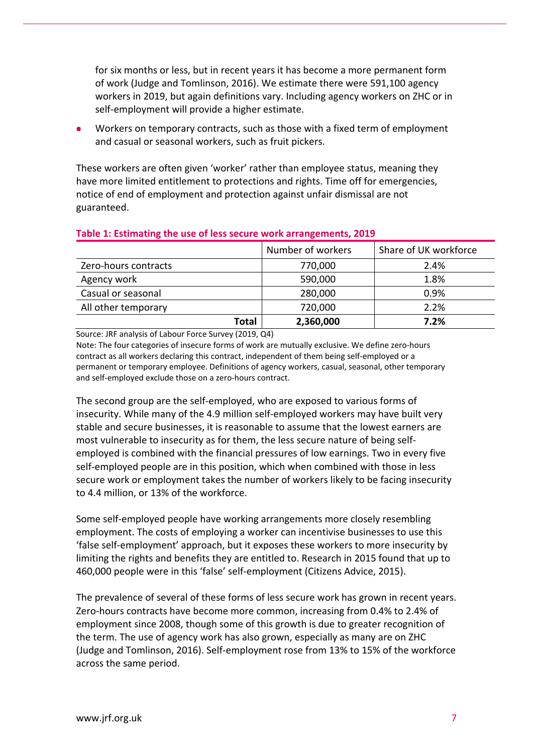for six months or less, but in recent years it has become a more permanent form of work (Judge and Tomlinson, 2016). We estimate there were 591,100 agency workers in 2019, but again definitions vary. Including agency workers on ZHC or in self-employment will provide a higher estimate.

Workers on temporary contracts, such as those with a fixed term of employment and casual or seasonal workers, such as fruit pickers.

These workers are often given 'worker' rather than employee status, meaning they have more limited entitlement to protections and rights. Time off for emergencies, notice of end of employment and protection against unfair dismissal are not guaranteed.

|                      | Number of workers | Share of UK workforce |
|----------------------|-------------------|-----------------------|
| Zero-hours contracts | 770,000           | 2.4%                  |
| Agency work          | 590,000           | 1.8%                  |
| Casual or seasonal   | 280,000           | 0.9%                  |
| All other temporary  | 720,000           | 2.2%                  |
| Total                | 2,360,000         | 7.2%                  |

#### **Table 1: Estimating the use of less secure work arrangements, 2019**

Source: JRF analysis of Labour Force Survey (2019, Q4)

Note: The four categories of insecure forms of work are mutually exclusive. We define zero-hours contract as all workers declaring this contract, independent of them being self-employed or a permanent or temporary employee. Definitions of agency workers, casual, seasonal, other temporary and self-employed exclude those on a zero-hours contract.

The second group are the self-employed, who are exposed to various forms of insecurity. While many of the 4.9 million self-employed workers may have built very stable and secure businesses, it is reasonable to assume that the lowest earners are most vulnerable to insecurity as for them, the less secure nature of being selfemployed is combined with the financial pressures of low earnings. Two in every five self-employed people are in this position, which when combined with those in less secure work or employment takes the number of workers likely to be facing insecurity to 4.4 million, or 13% of the workforce.

Some self-employed people have working arrangements more closely resembling employment. The costs of employing a worker can incentivise businesses to use this 'false self-employment' approach, but it exposes these workers to more insecurity by limiting the rights and benefits they are entitled to. Research in 2015 found that up to 460,000 people were in this 'false' self-employment (Citizens Advice, 2015).

The prevalence of several of these forms of less secure work has grown in recent years. Zero-hours contracts have become more common, increasing from 0.4% to 2.4% of employment since 2008, though some of this growth is due to greater recognition of the term. The use of agency work has also grown, especially as many are on ZHC (Judge and Tomlinson, 2016). Self-employment rose from 13% to 15% of the workforce across the same period.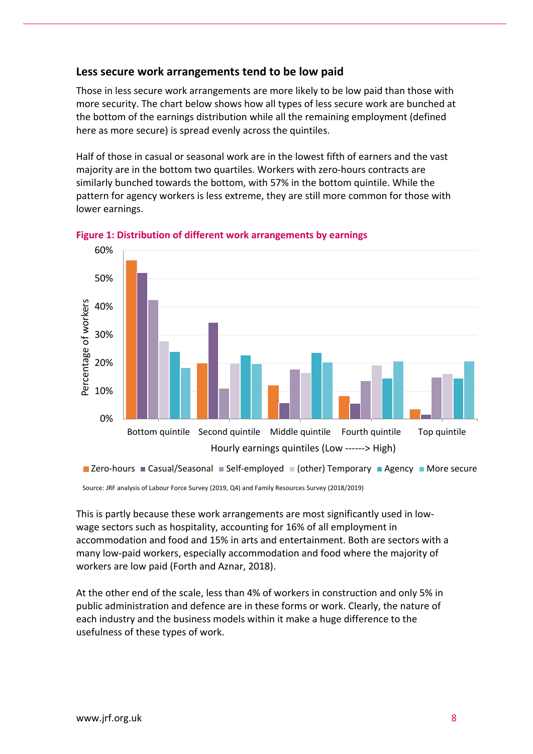## **Less secure work arrangements tend to be low paid**

Those in less secure work arrangements are more likely to be low paid than those with more security. The chart below shows how all types of less secure work are bunched at the bottom of the earnings distribution while all the remaining employment (defined here as more secure) is spread evenly across the quintiles.

Half of those in casual or seasonal work are in the lowest fifth of earners and the vast majority are in the bottom two quartiles. Workers with zero-hours contracts are similarly bunched towards the bottom, with 57% in the bottom quintile. While the pattern for agency workers is less extreme, they are still more common for those with lower earnings.



**Figure 1: Distribution of different work arrangements by earnings**

Source: JRF analysis of Labour Force Survey (2019, Q4) and Family Resources Survey (2018/2019)

This is partly because these work arrangements are most significantly used in lowwage sectors such as hospitality, accounting for 16% of all employment in accommodation and food and 15% in arts and entertainment. Both are sectors with a many low-paid workers, especially accommodation and food where the majority of workers are low paid (Forth and Aznar, 2018).

At the other end of the scale, less than 4% of workers in construction and only 5% in public administration and defence are in these forms or work. Clearly, the nature of each industry and the business models within it make a huge difference to the usefulness of these types of work.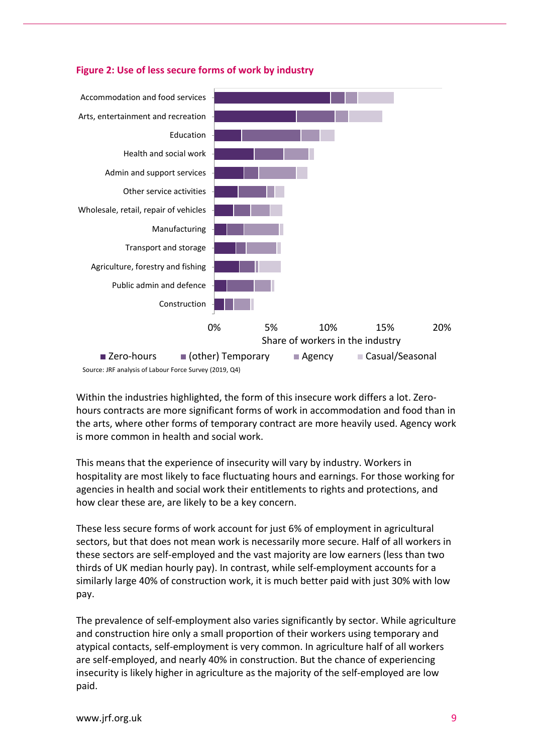

#### **Figure 2: Use of less secure forms of work by industry**

Within the industries highlighted, the form of this insecure work differs a lot. Zerohours contracts are more significant forms of work in accommodation and food than in the arts, where other forms of temporary contract are more heavily used. Agency work is more common in health and social work.

This means that the experience of insecurity will vary by industry. Workers in hospitality are most likely to face fluctuating hours and earnings. For those working for agencies in health and social work their entitlements to rights and protections, and how clear these are, are likely to be a key concern.

These less secure forms of work account for just 6% of employment in agricultural sectors, but that does not mean work is necessarily more secure. Half of all workers in these sectors are self-employed and the vast majority are low earners (less than two thirds of UK median hourly pay). In contrast, while self-employment accounts for a similarly large 40% of construction work, it is much better paid with just 30% with low pay.

The prevalence of self-employment also varies significantly by sector. While agriculture and construction hire only a small proportion of their workers using temporary and atypical contacts, self-employment is very common. In agriculture half of all workers are self-employed, and nearly 40% in construction. But the chance of experiencing insecurity is likely higher in agriculture as the majority of the self-employed are low paid.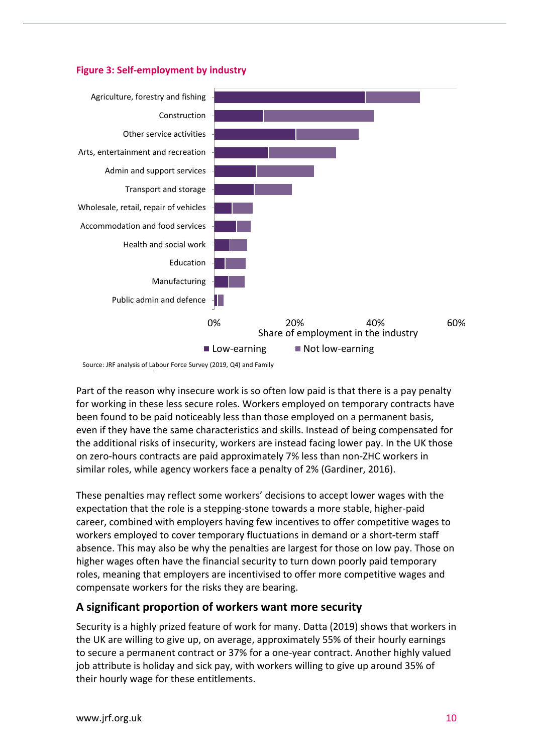



Source: JRF analysis of Labour Force Survey (2019, Q4) and Family

/

Part of the reason why insecure work is so often low paid is that there is a pay penalty for working in these less secure roles. Workers employed on temporary contracts have been found to be paid noticeably less than those employed on a permanent basis, even if they have the same characteristics and skills. Instead of being compensated for the additional risks of insecurity, workers are instead facing lower pay. In the UK those on zero-hours contracts are paid approximately 7% less than non-ZHC workers in similar roles, while agency workers face a penalty of 2% (Gardiner, 2016).

These penalties may reflect some workers' decisions to accept lower wages with the expectation that the role is a stepping-stone towards a more stable, higher-paid career, combined with employers having few incentives to offer competitive wages to workers employed to cover temporary fluctuations in demand or a short-term staff absence. This may also be why the penalties are largest for those on low pay. Those on higher wages often have the financial security to turn down poorly paid temporary roles, meaning that employers are incentivised to offer more competitive wages and compensate workers for the risks they are bearing.

## **A significant proportion of workers want more security**

Security is a highly prized feature of work for many. Datta (2019) shows that workers in the UK are willing to give up, on average, approximately 55% of their hourly earnings to secure a permanent contract or 37% for a one-year contract. Another highly valued job attribute is holiday and sick pay, with workers willing to give up around 35% of their hourly wage for these entitlements.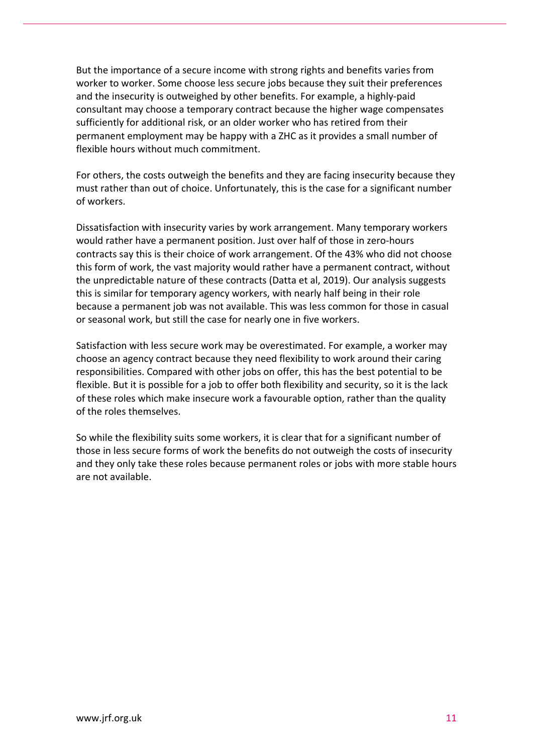But the importance of a secure income with strong rights and benefits varies from worker to worker. Some choose less secure jobs because they suit their preferences and the insecurity is outweighed by other benefits. For example, a highly-paid consultant may choose a temporary contract because the higher wage compensates sufficiently for additional risk, or an older worker who has retired from their permanent employment may be happy with a ZHC as it provides a small number of flexible hours without much commitment.

For others, the costs outweigh the benefits and they are facing insecurity because they must rather than out of choice. Unfortunately, this is the case for a significant number of workers.

Dissatisfaction with insecurity varies by work arrangement. Many temporary workers would rather have a permanent position. Just over half of those in zero-hours contracts say this is their choice of work arrangement. Of the 43% who did not choose this form of work, the vast majority would rather have a permanent contract, without the unpredictable nature of these contracts (Datta et al, 2019). Our analysis suggests this is similar for temporary agency workers, with nearly half being in their role because a permanent job was not available. This was less common for those in casual or seasonal work, but still the case for nearly one in five workers.

Satisfaction with less secure work may be overestimated. For example, a worker may choose an agency contract because they need flexibility to work around their caring responsibilities. Compared with other jobs on offer, this has the best potential to be flexible. But it is possible for a job to offer both flexibility and security, so it is the lack of these roles which make insecure work a favourable option, rather than the quality of the roles themselves.

So while the flexibility suits some workers, it is clear that for a significant number of those in less secure forms of work the benefits do not outweigh the costs of insecurity and they only take these roles because permanent roles or jobs with more stable hours are not available.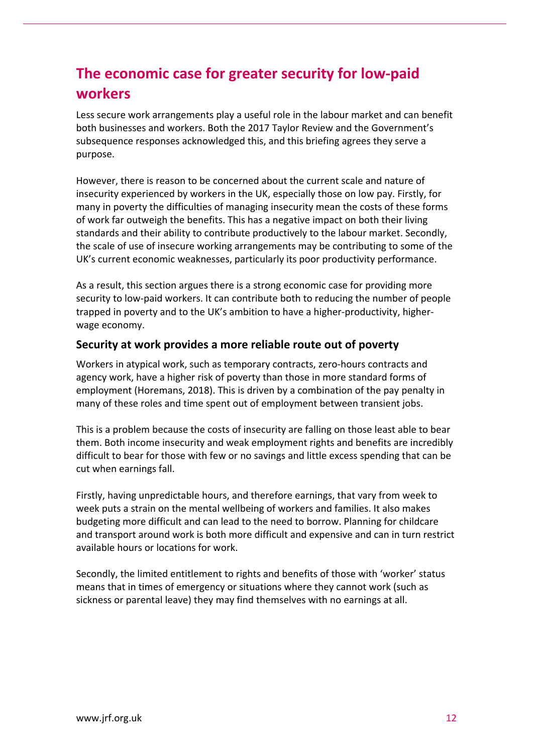# **The economic case for greater security for low-paid workers**

Less secure work arrangements play a useful role in the labour market and can benefit both businesses and workers. Both the 2017 Taylor Review and the Government's subsequence responses acknowledged this, and this briefing agrees they serve a purpose.

However, there is reason to be concerned about the current scale and nature of insecurity experienced by workers in the UK, especially those on low pay. Firstly, for many in poverty the difficulties of managing insecurity mean the costs of these forms of work far outweigh the benefits. This has a negative impact on both their living standards and their ability to contribute productively to the labour market. Secondly, the scale of use of insecure working arrangements may be contributing to some of the UK's current economic weaknesses, particularly its poor productivity performance.

As a result, this section argues there is a strong economic case for providing more security to low-paid workers. It can contribute both to reducing the number of people trapped in poverty and to the UK's ambition to have a higher-productivity, higherwage economy.

## **Security at work provides a more reliable route out of poverty**

Workers in atypical work, such as temporary contracts, zero-hours contracts and agency work, have a higher risk of poverty than those in more standard forms of employment (Horemans, 2018). This is driven by a combination of the pay penalty in many of these roles and time spent out of employment between transient jobs.

This is a problem because the costs of insecurity are falling on those least able to bear them. Both income insecurity and weak employment rights and benefits are incredibly difficult to bear for those with few or no savings and little excess spending that can be cut when earnings fall.

Firstly, having unpredictable hours, and therefore earnings, that vary from week to week puts a strain on the mental wellbeing of workers and families. It also makes budgeting more difficult and can lead to the need to borrow. Planning for childcare and transport around work is both more difficult and expensive and can in turn restrict available hours or locations for work.

Secondly, the limited entitlement to rights and benefits of those with 'worker' status means that in times of emergency or situations where they cannot work (such as sickness or parental leave) they may find themselves with no earnings at all.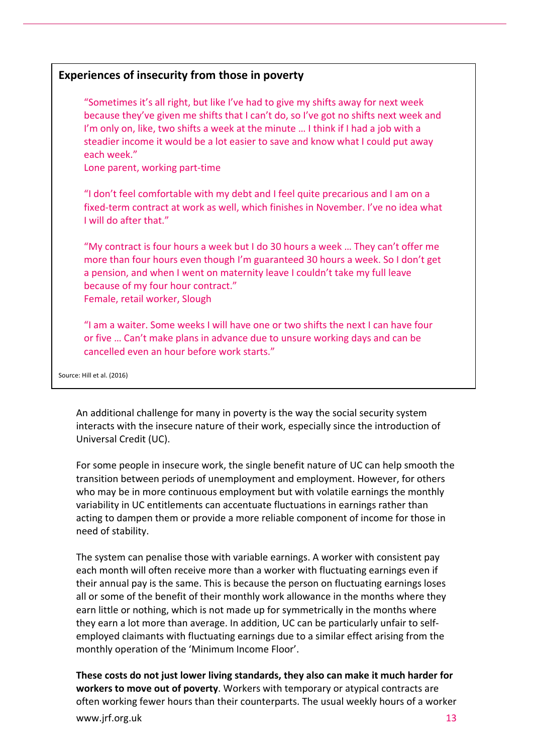# **Experiences of insecurity from those in poverty**

"Sometimes it's all right, but like I've had to give my shifts away for next week because they've given me shifts that I can't do, so I've got no shifts next week and I'm only on, like, two shifts a week at the minute … I think if I had a job with a steadier income it would be a lot easier to save and know what I could put away each week."

Lone parent, working part-time

"I don't feel comfortable with my debt and I feel quite precarious and I am on a fixed-term contract at work as well, which finishes in November. I've no idea what I will do after that."

"My contract is four hours a week but I do 30 hours a week … They can't offer me more than four hours even though I'm guaranteed 30 hours a week. So I don't get a pension, and when I went on maternity leave I couldn't take my full leave because of my four hour contract." Female, retail worker, Slough

"I am a waiter. Some weeks I will have one or two shifts the next I can have four or five … Can't make plans in advance due to unsure working days and can be cancelled even an hour before work starts."

Source: Hill et al. (2016)

An additional challenge for many in poverty is the way the social security system interacts with the insecure nature of their work, especially since the introduction of Universal Credit (UC).

For some people in insecure work, the single benefit nature of UC can help smooth the transition between periods of unemployment and employment. However, for others who may be in more continuous employment but with volatile earnings the monthly variability in UC entitlements can accentuate fluctuations in earnings rather than acting to dampen them or provide a more reliable component of income for those in need of stability.

The system can penalise those with variable earnings. A worker with consistent pay each month will often receive more than a worker with fluctuating earnings even if their annual pay is the same. This is because the person on fluctuating earnings loses all or some of the benefit of their monthly work allowance in the months where they earn little or nothing, which is not made up for symmetrically in the months where they earn a lot more than average. In addition, UC can be particularly unfair to selfemployed claimants with fluctuating earnings due to a similar effect arising from the monthly operation of the 'Minimum Income Floor'.

**These costs do not just lower living standards, they also can make it much harder for workers to move out of poverty**. Workers with temporary or atypical contracts are often working fewer hours than their counterparts. The usual weekly hours of a worker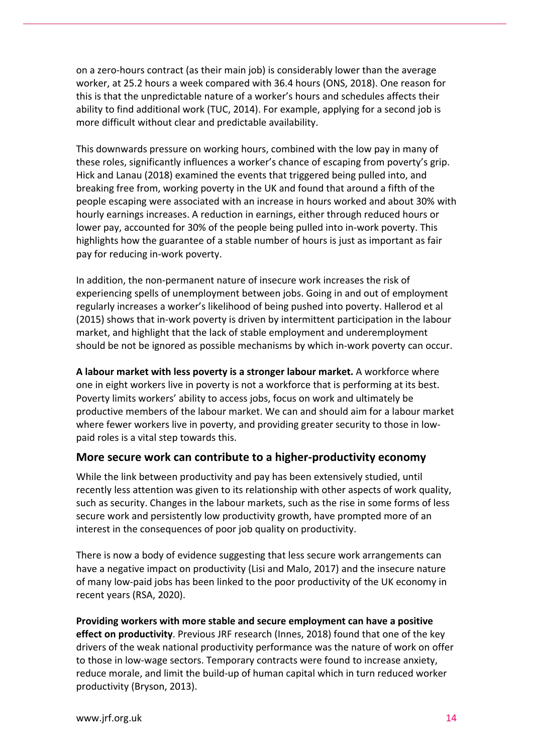on a zero-hours contract (as their main job) is considerably lower than the average worker, at 25.2 hours a week compared with 36.4 hours (ONS, 2018). One reason for this is that the unpredictable nature of a worker's hours and schedules affects their ability to find additional work (TUC, 2014). For example, applying for a second job is more difficult without clear and predictable availability.

This downwards pressure on working hours, combined with the low pay in many of these roles, significantly influences a worker's chance of escaping from poverty's grip. Hick and Lanau (2018) examined the events that triggered being pulled into, and breaking free from, working poverty in the UK and found that around a fifth of the people escaping were associated with an increase in hours worked and about 30% with hourly earnings increases. A reduction in earnings, either through reduced hours or lower pay, accounted for 30% of the people being pulled into in-work poverty. This highlights how the guarantee of a stable number of hours is just as important as fair pay for reducing in-work poverty.

In addition, the non-permanent nature of insecure work increases the risk of experiencing spells of unemployment between jobs. Going in and out of employment regularly increases a worker's likelihood of being pushed into poverty. Hallerod et al (2015) shows that in-work poverty is driven by intermittent participation in the labour market, and highlight that the lack of stable employment and underemployment should be not be ignored as possible mechanisms by which in-work poverty can occur.

**A labour market with less poverty is a stronger labour market.** A workforce where one in eight workers live in poverty is not a workforce that is performing at its best. Poverty limits workers' ability to access jobs, focus on work and ultimately be productive members of the labour market. We can and should aim for a labour market where fewer workers live in poverty, and providing greater security to those in lowpaid roles is a vital step towards this.

## **More secure work can contribute to a higher-productivity economy**

While the link between productivity and pay has been extensively studied, until recently less attention was given to its relationship with other aspects of work quality, such as security. Changes in the labour markets, such as the rise in some forms of less secure work and persistently low productivity growth, have prompted more of an interest in the consequences of poor job quality on productivity.

There is now a body of evidence suggesting that less secure work arrangements can have a negative impact on productivity (Lisi and Malo, 2017) and the insecure nature of many low-paid jobs has been linked to the poor productivity of the UK economy in recent years (RSA, 2020).

**Providing workers with more stable and secure employment can have a positive effect on productivity**. Previous JRF research (Innes, 2018) found that one of the key drivers of the weak national productivity performance was the nature of work on offer to those in low-wage sectors. Temporary contracts were found to increase anxiety, reduce morale, and limit the build-up of human capital which in turn reduced worker productivity (Bryson, 2013).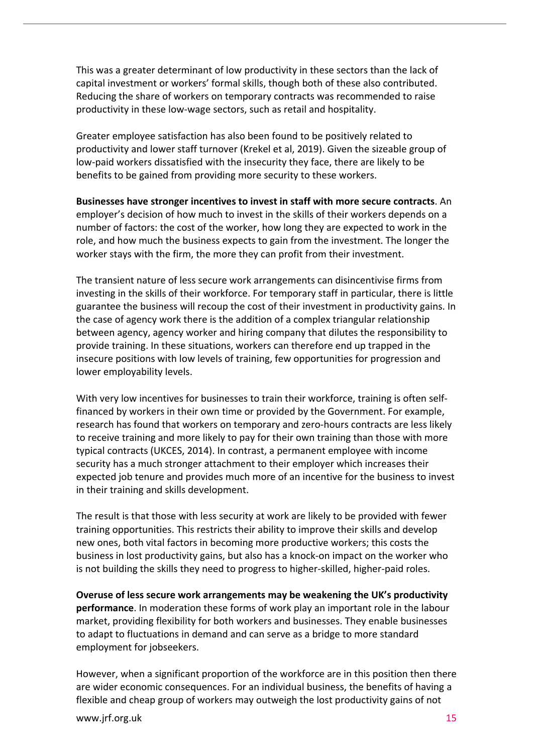This was a greater determinant of low productivity in these sectors than the lack of capital investment or workers' formal skills, though both of these also contributed. Reducing the share of workers on temporary contracts was recommended to raise productivity in these low-wage sectors, such as retail and hospitality.

Greater employee satisfaction has also been found to be positively related to productivity and lower staff turnover (Krekel et al, 2019). Given the sizeable group of low-paid workers dissatisfied with the insecurity they face, there are likely to be benefits to be gained from providing more security to these workers.

**Businesses have stronger incentives to invest in staff with more secure contracts**. An employer's decision of how much to invest in the skills of their workers depends on a number of factors: the cost of the worker, how long they are expected to work in the role, and how much the business expects to gain from the investment. The longer the worker stays with the firm, the more they can profit from their investment.

The transient nature of less secure work arrangements can disincentivise firms from investing in the skills of their workforce. For temporary staff in particular, there is little guarantee the business will recoup the cost of their investment in productivity gains. In the case of agency work there is the addition of a complex triangular relationship between agency, agency worker and hiring company that dilutes the responsibility to provide training. In these situations, workers can therefore end up trapped in the insecure positions with low levels of training, few opportunities for progression and lower employability levels.

With very low incentives for businesses to train their workforce, training is often selffinanced by workers in their own time or provided by the Government. For example, research has found that workers on temporary and zero-hours contracts are less likely to receive training and more likely to pay for their own training than those with more typical contracts (UKCES, 2014). In contrast, a permanent employee with income security has a much stronger attachment to their employer which increases their expected job tenure and provides much more of an incentive for the business to invest in their training and skills development.

The result is that those with less security at work are likely to be provided with fewer training opportunities. This restricts their ability to improve their skills and develop new ones, both vital factors in becoming more productive workers; this costs the business in lost productivity gains, but also has a knock-on impact on the worker who is not building the skills they need to progress to higher-skilled, higher-paid roles.

**Overuse of less secure work arrangements may be weakening the UK's productivity performance**. In moderation these forms of work play an important role in the labour market, providing flexibility for both workers and businesses. They enable businesses to adapt to fluctuations in demand and can serve as a bridge to more standard employment for jobseekers.

However, when a significant proportion of the workforce are in this position then there are wider economic consequences. For an individual business, the benefits of having a flexible and cheap group of workers may outweigh the lost productivity gains of not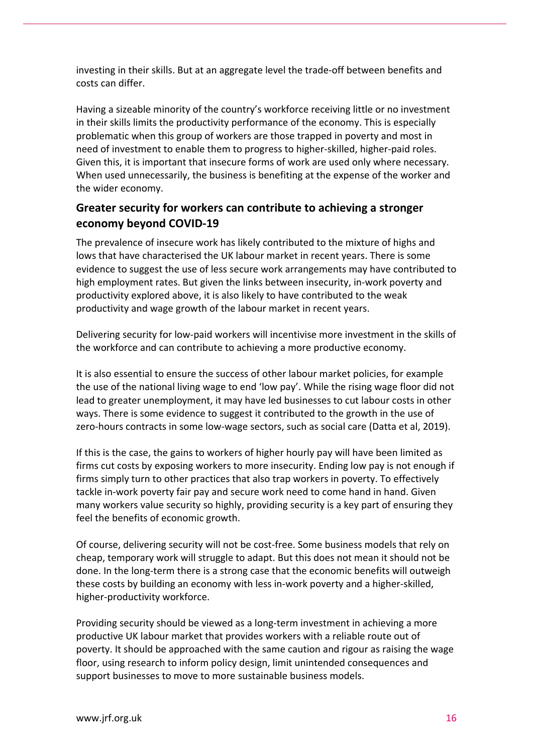investing in their skills. But at an aggregate level the trade-off between benefits and costs can differ.

Having a sizeable minority of the country's workforce receiving little or no investment in their skills limits the productivity performance of the economy. This is especially problematic when this group of workers are those trapped in poverty and most in need of investment to enable them to progress to higher-skilled, higher-paid roles. Given this, it is important that insecure forms of work are used only where necessary. When used unnecessarily, the business is benefiting at the expense of the worker and the wider economy.

# **Greater security for workers can contribute to achieving a stronger economy beyond COVID-19**

The prevalence of insecure work has likely contributed to the mixture of highs and lows that have characterised the UK labour market in recent years. There is some evidence to suggest the use of less secure work arrangements may have contributed to high employment rates. But given the links between insecurity, in-work poverty and productivity explored above, it is also likely to have contributed to the weak productivity and wage growth of the labour market in recent years.

Delivering security for low-paid workers will incentivise more investment in the skills of the workforce and can contribute to achieving a more productive economy.

It is also essential to ensure the success of other labour market policies, for example the use of the national living wage to end 'low pay'. While the rising wage floor did not lead to greater unemployment, it may have led businesses to cut labour costs in other ways. There is some evidence to suggest it contributed to the growth in the use of zero-hours contracts in some low-wage sectors, such as social care (Datta et al, 2019).

If this is the case, the gains to workers of higher hourly pay will have been limited as firms cut costs by exposing workers to more insecurity. Ending low pay is not enough if firms simply turn to other practices that also trap workers in poverty. To effectively tackle in-work poverty fair pay and secure work need to come hand in hand. Given many workers value security so highly, providing security is a key part of ensuring they feel the benefits of economic growth.

Of course, delivering security will not be cost-free. Some business models that rely on cheap, temporary work will struggle to adapt. But this does not mean it should not be done. In the long-term there is a strong case that the economic benefits will outweigh these costs by building an economy with less in-work poverty and a higher-skilled, higher-productivity workforce.

Providing security should be viewed as a long-term investment in achieving a more productive UK labour market that provides workers with a reliable route out of poverty. It should be approached with the same caution and rigour as raising the wage floor, using research to inform policy design, limit unintended consequences and support businesses to move to more sustainable business models.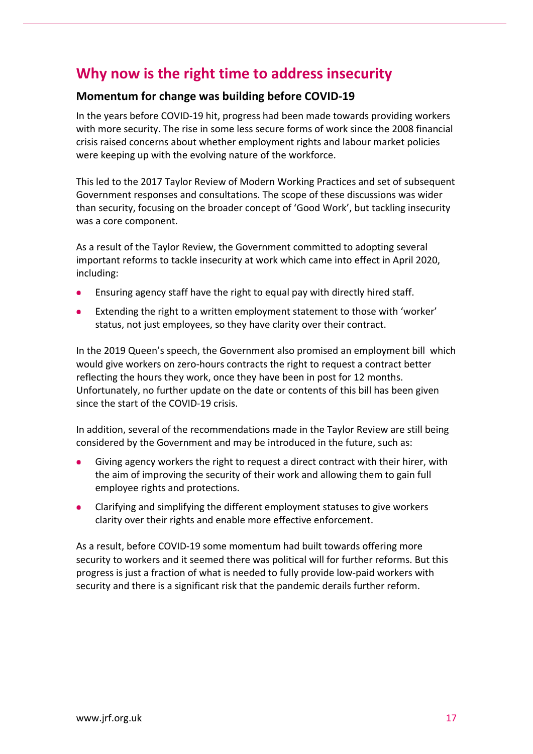# **Why now is the right time to address insecurity**

# **Momentum for change was building before COVID-19**

In the years before COVID-19 hit, progress had been made towards providing workers with more security. The rise in some less secure forms of work since the 2008 financial crisis raised concerns about whether employment rights and labour market policies were keeping up with the evolving nature of the workforce.

This led to the 2017 Taylor Review of Modern Working Practices and set of subsequent Government responses and consultations. The scope of these discussions was wider than security, focusing on the broader concept of 'Good Work', but tackling insecurity was a core component.

As a result of the Taylor Review, the Government committed to adopting several important reforms to tackle insecurity at work which came into effect in April 2020, including:

- Ensuring agency staff have the right to equal pay with directly hired staff.
- Extending the right to a written employment statement to those with 'worker' status, not just employees, so they have clarity over their contract.

In the 2019 Queen's speech, the Government also promised an employment bill which would give workers on zero-hours contracts the right to request a contract better reflecting the hours they work, once they have been in post for 12 months. Unfortunately, no further update on the date or contents of this bill has been given since the start of the COVID-19 crisis.

In addition, several of the recommendations made in the Taylor Review are still being considered by the Government and may be introduced in the future, such as:

- Giving agency workers the right to request a direct contract with their hirer, with the aim of improving the security of their work and allowing them to gain full employee rights and protections.
- Clarifying and simplifying the different employment statuses to give workers clarity over their rights and enable more effective enforcement.

As a result, before COVID-19 some momentum had built towards offering more security to workers and it seemed there was political will for further reforms. But this progress is just a fraction of what is needed to fully provide low-paid workers with security and there is a significant risk that the pandemic derails further reform.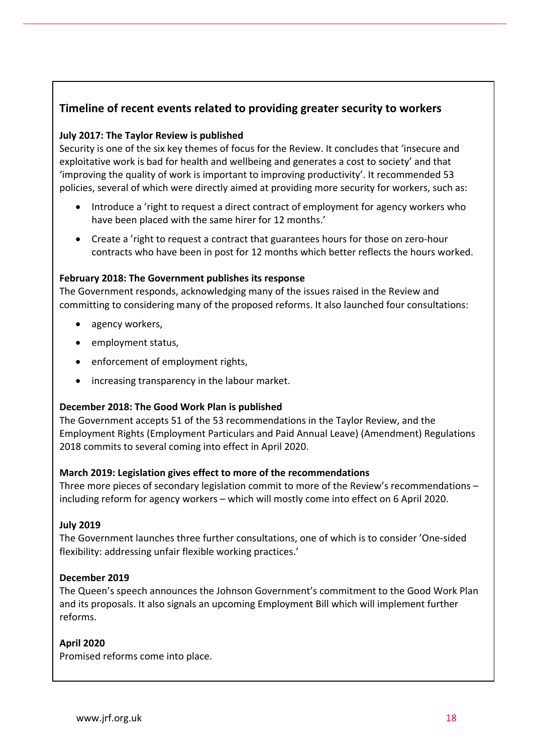# **Timeline of recent events related to providing greater security to workers**

## **July 2017: The Taylor Review is published**

Security is one of the six key themes of focus for the Review. It concludes that 'insecure and exploitative work is bad for health and wellbeing and generates a cost to society' and that 'improving the quality of work is important to improving productivity'. It recommended 53 policies, several of which were directly aimed at providing more security for workers, such as:

- Introduce a 'right to request a direct contract of employment for agency workers who have been placed with the same hirer for 12 months.'
- Create a 'right to request a contract that guarantees hours for those on zero-hour contracts who have been in post for 12 months which better reflects the hours worked.

#### **February 2018: The Government publishes its response**

The Government responds, acknowledging many of the issues raised in the Review and committing to considering many of the proposed reforms. It also launched four consultations:

- agency workers,
- employment status,
- enforcement of employment rights,
- increasing transparency in the labour market.

#### **December 2018: The Good Work Plan is published**

The Government accepts 51 of the 53 recommendations in the Taylor Review, and the Employment Rights (Employment Particulars and Paid Annual Leave) (Amendment) Regulations 2018 commits to several coming into effect in April 2020.

#### **March 2019: Legislation gives effect to more of the recommendations**

Three more pieces of secondary legislation commit to more of the Review's recommendations – including reform for agency workers – which will mostly come into effect on 6 April 2020.

#### **July 2019**

The Government launches three further consultations, one of which is to consider 'One-sided flexibility: addressing unfair flexible working practices.'

#### **December 2019**

The Queen's speech announces the Johnson Government's commitment to the Good Work Plan and its proposals. It also signals an upcoming Employment Bill which will implement further reforms.

## **April 2020**

Promised reforms come into place.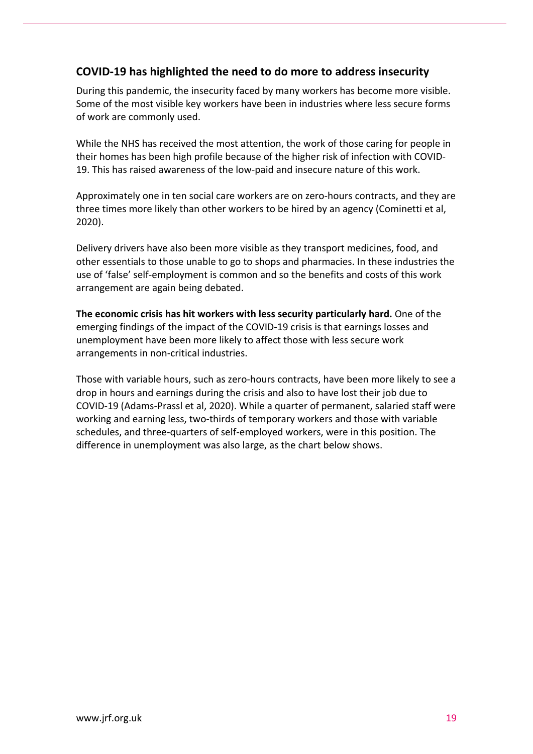# **COVID-19 has highlighted the need to do more to address insecurity**

During this pandemic, the insecurity faced by many workers has become more visible. Some of the most visible key workers have been in industries where less secure forms of work are commonly used.

While the NHS has received the most attention, the work of those caring for people in their homes has been high profile because of the higher risk of infection with COVID-19. This has raised awareness of the low-paid and insecure nature of this work.

Approximately one in ten social care workers are on zero-hours contracts, and they are three times more likely than other workers to be hired by an agency (Cominetti et al, 2020).

Delivery drivers have also been more visible as they transport medicines, food, and other essentials to those unable to go to shops and pharmacies. In these industries the use of 'false' self-employment is common and so the benefits and costs of this work arrangement are again being debated.

**The economic crisis has hit workers with less security particularly hard.** One of the emerging findings of the impact of the COVID-19 crisis is that earnings losses and unemployment have been more likely to affect those with less secure work arrangements in non-critical industries.

Those with variable hours, such as zero-hours contracts, have been more likely to see a drop in hours and earnings during the crisis and also to have lost their job due to COVID-19 (Adams-Prassl et al, 2020). While a quarter of permanent, salaried staff were working and earning less, two-thirds of temporary workers and those with variable schedules, and three-quarters of self-employed workers, were in this position. The difference in unemployment was also large, as the chart below shows.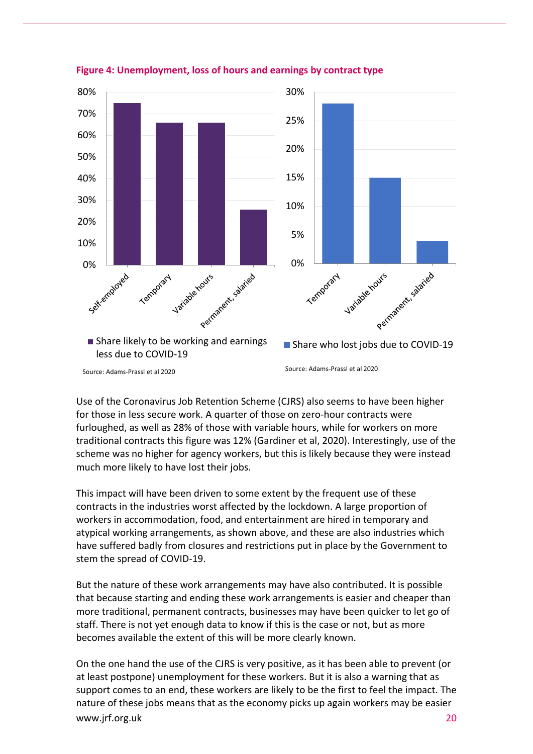



Use of the Coronavirus Job Retention Scheme (CJRS) also seems to have been higher for those in less secure work. A quarter of those on zero-hour contracts were furloughed, as well as 28% of those with variable hours, while for workers on more traditional contracts this figure was 12% (Gardiner et al, 2020). Interestingly, use of the scheme was no higher for agency workers, but this is likely because they were instead much more likely to have lost their jobs.

This impact will have been driven to some extent by the frequent use of these contracts in the industries worst affected by the lockdown. A large proportion of workers in accommodation, food, and entertainment are hired in temporary and atypical working arrangements, as shown above, and these are also industries which have suffered badly from closures and restrictions put in place by the Government to stem the spread of COVID-19.

But the nature of these work arrangements may have also contributed. It is possible that because starting and ending these work arrangements is easier and cheaper than more traditional, permanent contracts, businesses may have been quicker to let go of staff. There is not yet enough data to know if this is the case or not, but as more becomes available the extent of this will be more clearly known.

www.irf.org.uk 20 On the one hand the use of the CJRS is very positive, as it has been able to prevent (or at least postpone) unemployment for these workers. But it is also a warning that as support comes to an end, these workers are likely to be the first to feel the impact. The nature of these jobs means that as the economy picks up again workers may be easier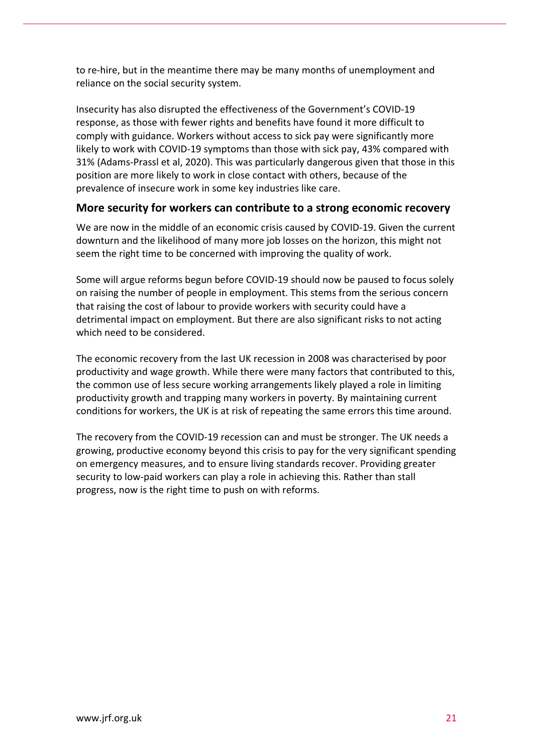to re-hire, but in the meantime there may be many months of unemployment and reliance on the social security system.

Insecurity has also disrupted the effectiveness of the Government's COVID-19 response, as those with fewer rights and benefits have found it more difficult to comply with guidance. Workers without access to sick pay were significantly more likely to work with COVID-19 symptoms than those with sick pay, 43% compared with 31% (Adams-Prassl et al, 2020). This was particularly dangerous given that those in this position are more likely to work in close contact with others, because of the prevalence of insecure work in some key industries like care.

## **More security for workers can contribute to a strong economic recovery**

We are now in the middle of an economic crisis caused by COVID-19. Given the current downturn and the likelihood of many more job losses on the horizon, this might not seem the right time to be concerned with improving the quality of work.

Some will argue reforms begun before COVID-19 should now be paused to focus solely on raising the number of people in employment. This stems from the serious concern that raising the cost of labour to provide workers with security could have a detrimental impact on employment. But there are also significant risks to not acting which need to be considered.

The economic recovery from the last UK recession in 2008 was characterised by poor productivity and wage growth. While there were many factors that contributed to this, the common use of less secure working arrangements likely played a role in limiting productivity growth and trapping many workers in poverty. By maintaining current conditions for workers, the UK is at risk of repeating the same errors this time around.

The recovery from the COVID-19 recession can and must be stronger. The UK needs a growing, productive economy beyond this crisis to pay for the very significant spending on emergency measures, and to ensure living standards recover. Providing greater security to low-paid workers can play a role in achieving this. Rather than stall progress, now is the right time to push on with reforms.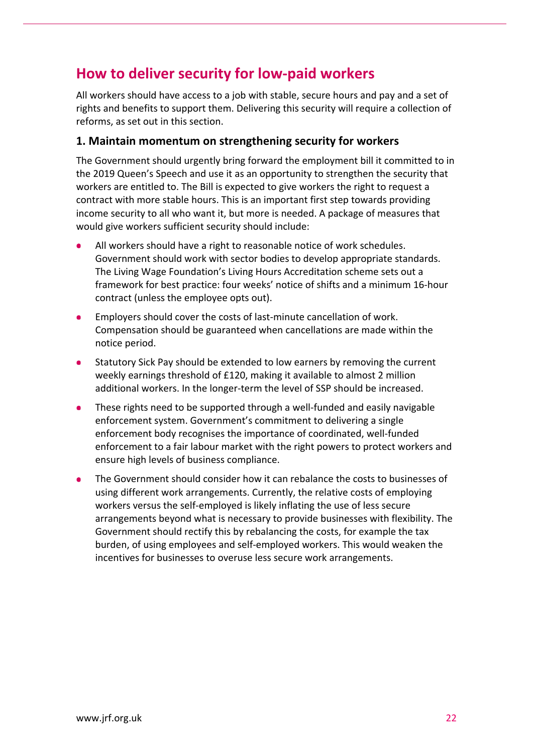# **How to deliver security for low-paid workers**

All workers should have access to a job with stable, secure hours and pay and a set of rights and benefits to support them. Delivering this security will require a collection of reforms, as set out in this section.

# **1. Maintain momentum on strengthening security for workers**

The Government should urgently bring forward the employment bill it committed to in the 2019 Queen's Speech and use it as an opportunity to strengthen the security that workers are entitled to. The Bill is expected to give workers the right to request a contract with more stable hours. This is an important first step towards providing income security to all who want it, but more is needed. A package of measures that would give workers sufficient security should include:

- All workers should have a right to reasonable notice of work schedules. Government should work with sector bodies to develop appropriate standards. The Living Wage Foundation's Living Hours Accreditation scheme sets out a framework for best practice: four weeks' notice of shifts and a minimum 16-hour contract (unless the employee opts out).
- Employers should cover the costs of last-minute cancellation of work. Compensation should be guaranteed when cancellations are made within the notice period.
- Statutory Sick Pay should be extended to low earners by removing the current weekly earnings threshold of £120, making it available to almost 2 million additional workers. In the longer-term the level of SSP should be increased.
- These rights need to be supported through a well-funded and easily navigable enforcement system. Government's commitment to delivering a single enforcement body recognises the importance of coordinated, well-funded enforcement to a fair labour market with the right powers to protect workers and ensure high levels of business compliance.
- The Government should consider how it can rebalance the costs to businesses of using different work arrangements. Currently, the relative costs of employing workers versus the self-employed is likely inflating the use of less secure arrangements beyond what is necessary to provide businesses with flexibility. The Government should rectify this by rebalancing the costs, for example the tax burden, of using employees and self-employed workers. This would weaken the incentives for businesses to overuse less secure work arrangements.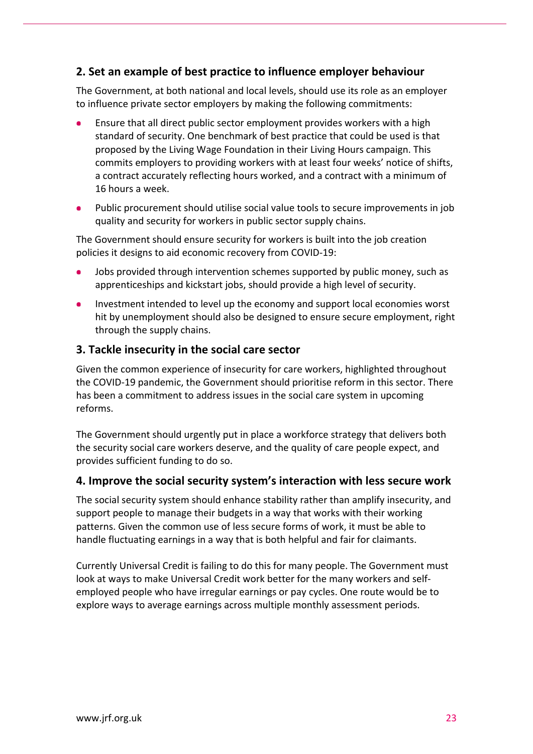# **2. Set an example of best practice to influence employer behaviour**

The Government, at both national and local levels, should use its role as an employer to influence private sector employers by making the following commitments:

- Ensure that all direct public sector employment provides workers with a high standard of security. One benchmark of best practice that could be used is that proposed by the Living Wage Foundation in their Living Hours campaign. This commits employers to providing workers with at least four weeks' notice of shifts, a contract accurately reflecting hours worked, and a contract with a minimum of 16 hours a week.
- Public procurement should utilise social value tools to secure improvements in job quality and security for workers in public sector supply chains.

The Government should ensure security for workers is built into the job creation policies it designs to aid economic recovery from COVID-19:

- Jobs provided through intervention schemes supported by public money, such as apprenticeships and kickstart jobs, should provide a high level of security.
- Investment intended to level up the economy and support local economies worst hit by unemployment should also be designed to ensure secure employment, right through the supply chains.

## **3. Tackle insecurity in the social care sector**

Given the common experience of insecurity for care workers, highlighted throughout the COVID-19 pandemic, the Government should prioritise reform in this sector. There has been a commitment to address issues in the social care system in upcoming reforms.

The Government should urgently put in place a workforce strategy that delivers both the security social care workers deserve, and the quality of care people expect, and provides sufficient funding to do so.

#### **4. Improve the social security system's interaction with less secure work**

The social security system should enhance stability rather than amplify insecurity, and support people to manage their budgets in a way that works with their working patterns. Given the common use of less secure forms of work, it must be able to handle fluctuating earnings in a way that is both helpful and fair for claimants.

Currently Universal Credit is failing to do this for many people. The Government must look at ways to make Universal Credit work better for the many workers and selfemployed people who have irregular earnings or pay cycles. One route would be to explore ways to average earnings across multiple monthly assessment periods.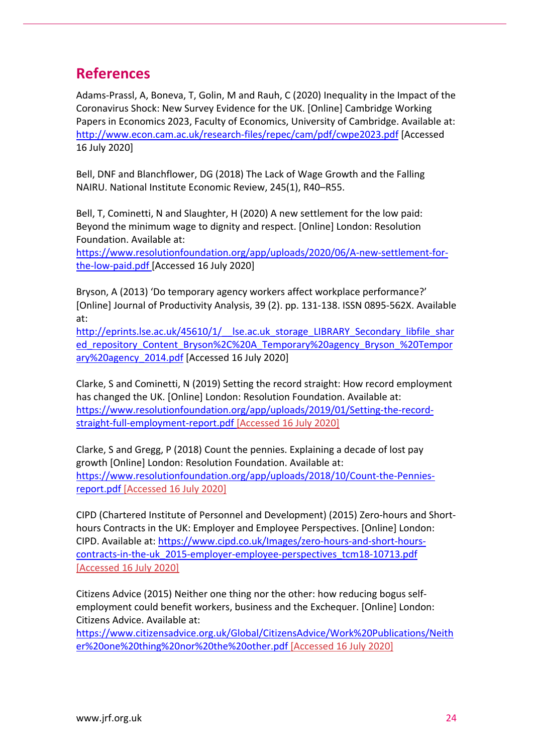# **References**

Adams-Prassl, A, Boneva, T, Golin, M and Rauh, C (2020) Inequality in the Impact of the Coronavirus Shock: New Survey Evidence for the UK. [Online] Cambridge Working Papers in Economics 2023, Faculty of Economics, University of Cambridge. Available at: <http://www.econ.cam.ac.uk/research-files/repec/cam/pdf/cwpe2023.pdf> [Accessed 16 July 2020]

Bell, DNF and Blanchflower, DG (2018) The Lack of Wage Growth and the Falling NAIRU. National Institute Economic Review, 245(1), R40–R55.

Bell, T, Cominetti, N and Slaughter, H (2020) A new settlement for the low paid: Beyond the minimum wage to dignity and respect. [Online] London: Resolution Foundation. Available at:

[https://www.resolutionfoundation.org/app/uploads/2020/06/A-new-settlement-for](https://www.resolutionfoundation.org/app/uploads/2020/06/A-new-settlement-for-the-low-paid.pdf)[the-low-paid.pdf](https://www.resolutionfoundation.org/app/uploads/2020/06/A-new-settlement-for-the-low-paid.pdf) [Accessed 16 July 2020]

Bryson, A (2013) 'Do temporary agency workers affect workplace performance?' [Online] Journal of Productivity Analysis, 39 (2). pp. 131-138. ISSN 0895-562X. Available at:

http://eprints.lse.ac.uk/45610/1/ lse.ac.uk storage\_LIBRARY\_Secondary\_libfile\_shar ed repository Content Bryson%2C%20A Temporary%20agency Bryson %20Tempor [ary%20agency\\_2014.pdf](http://eprints.lse.ac.uk/45610/1/__lse.ac.uk_storage_LIBRARY_Secondary_libfile_shared_repository_Content_Bryson%2C%20A_Temporary%20agency_Bryson_%20Temporary%20agency_2014.pdf) [Accessed 16 July 2020]

Clarke, S and Cominetti, N (2019) Setting the record straight: How record employment has changed the UK. [Online] London: Resolution Foundation. Available at: [https://www.resolutionfoundation.org/app/uploads/2019/01/Setting-the-record](https://www.resolutionfoundation.org/app/uploads/2019/01/Setting-the-record-straight-full-employment-report.pdf)[straight-full-employment-report.pdf](https://www.resolutionfoundation.org/app/uploads/2019/01/Setting-the-record-straight-full-employment-report.pdf) [Accessed 16 July 2020]

Clarke, S and Gregg, P (2018) Count the pennies. Explaining a decade of lost pay growth [Online] London: Resolution Foundation. Available at: [https://www.resolutionfoundation.org/app/uploads/2018/10/Count-the-Pennies](https://www.resolutionfoundation.org/app/uploads/2018/10/Count-the-Pennies-report.pdf)[report.pdf](https://www.resolutionfoundation.org/app/uploads/2018/10/Count-the-Pennies-report.pdf) [Accessed 16 July 2020]

CIPD (Chartered Institute of Personnel and Development) (2015) Zero-hours and Shorthours Contracts in the UK: Employer and Employee Perspectives. [Online] London: CIPD. Available at: [https://www.cipd.co.uk/Images/zero-hours-and-short-hours](https://www.cipd.co.uk/Images/zero-hours-and-short-hours-contracts-in-the-uk_2015-employer-employee-perspectives_tcm18-10713.pdf)[contracts-in-the-uk\\_2015-employer-employee-perspectives\\_tcm18-10713.pdf](https://www.cipd.co.uk/Images/zero-hours-and-short-hours-contracts-in-the-uk_2015-employer-employee-perspectives_tcm18-10713.pdf) [Accessed 16 July 2020]

Citizens Advice (2015) Neither one thing nor the other: how reducing bogus selfemployment could benefit workers, business and the Exchequer. [Online] London: Citizens Advice. Available at:

[https://www.citizensadvice.org.uk/Global/CitizensAdvice/Work%20Publications/Neith](https://www.citizensadvice.org.uk/Global/CitizensAdvice/Work%20Publications/Neither%20one%20thing%20nor%20the%20other.pdf) [er%20one%20thing%20nor%20the%20other.pdf](https://www.citizensadvice.org.uk/Global/CitizensAdvice/Work%20Publications/Neither%20one%20thing%20nor%20the%20other.pdf) [Accessed 16 July 2020]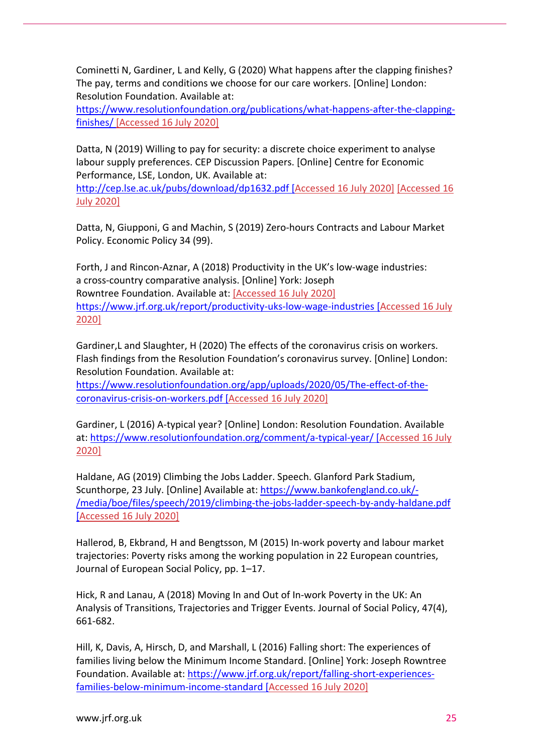Cominetti N, Gardiner, L and Kelly, G (2020) What happens after the clapping finishes? The pay, terms and conditions we choose for our care workers. [Online] London: Resolution Foundation. Available at:

[https://www.resolutionfoundation.org/publications/what-happens-after-the-clapping](https://www.resolutionfoundation.org/publications/what-happens-after-the-clapping-finishes/)[finishes/](https://www.resolutionfoundation.org/publications/what-happens-after-the-clapping-finishes/) [Accessed 16 July 2020]

Datta, N (2019) Willing to pay for security: a discrete choice experiment to analyse labour supply preferences. CEP Discussion Papers. [Online] Centre for Economic Performance, LSE, London, UK. Available at:

<http://cep.lse.ac.uk/pubs/download/dp1632.pdf> [Accessed 16 July 2020] [\[Accessed 16](https://www.resolutionfoundation.org/app/uploads/2020/05/The-effect-of-the-coronavirus-crisis-on-workers.pdf)  [July 2020\]](https://www.resolutionfoundation.org/app/uploads/2020/05/The-effect-of-the-coronavirus-crisis-on-workers.pdf)

Datta, N, Giupponi, G and Machin, S (2019) Zero-hours Contracts and Labour Market Policy. Economic Policy 34 (99).

Forth, J and Rincon-Aznar, A (2018) Productivity in the UK's low-wage industries: a cross-country comparative analysis. [Online] York: Joseph Rowntree Foundation. Available at: [Accessed 16 July 2020] <https://www.jrf.org.uk/report/productivity-uks-low-wage-industries> [Accessed 16 July 2020]

Gardiner,L and Slaughter, H (2020) The effects of the coronavirus crisis on workers. Flash findings from the Resolution Foundation's coronavirus survey. [Online] London: Resolution Foundation. Available at:

[https://www.resolutionfoundation.org/app/uploads/2020/05/The-effect-of-the](https://www.resolutionfoundation.org/app/uploads/2020/05/The-effect-of-the-coronavirus-crisis-on-workers.pdf)[coronavirus-crisis-on-workers.pdf](https://www.resolutionfoundation.org/app/uploads/2020/05/The-effect-of-the-coronavirus-crisis-on-workers.pdf) [Accessed 16 July 2020]

Gardiner, L (2016) A-typical year? [Online] London: Resolution Foundation. Available at[: https://www.resolutionfoundation.org/comment/a-typical-year/](https://www.resolutionfoundation.org/comment/a-typical-year/) [Accessed 16 July 2020]

Haldane, AG (2019) Climbing the Jobs Ladder. Speech. Glanford Park Stadium, Scunthorpe, 23 July. [Online] Available at: [https://www.bankofengland.co.uk/-](https://www.bankofengland.co.uk/-/media/boe/files/speech/2019/climbing-the-jobs-ladder-speech-by-andy-haldane.pdf) [/media/boe/files/speech/2019/climbing-the-jobs-ladder-speech-by-andy-haldane.pdf](https://www.bankofengland.co.uk/-/media/boe/files/speech/2019/climbing-the-jobs-ladder-speech-by-andy-haldane.pdf) [Accessed 16 July 2020]

Hallerod, B, Ekbrand, H and Bengtsson, M (2015) In-work poverty and labour market trajectories: Poverty risks among the working population in 22 European countries, Journal of European Social Policy, pp. 1–17.

Hick, R and Lanau, A (2018) Moving In and Out of In-work Poverty in the UK: An Analysis of Transitions, Trajectories and Trigger Events. Journal of Social Policy, 47(4), 661-682.

Hill, K, Davis, A, Hirsch, D, and Marshall, L (2016) Falling short: The experiences of families living below the Minimum Income Standard. [Online] York: Joseph Rowntree Foundation. Available at: [https://www.jrf.org.uk/report/falling-short-experiences](https://www.jrf.org.uk/report/falling-short-experiences-families-below-minimum-income-standard)[families-below-minimum-income-standard](https://www.jrf.org.uk/report/falling-short-experiences-families-below-minimum-income-standard) [Accessed 16 July 2020]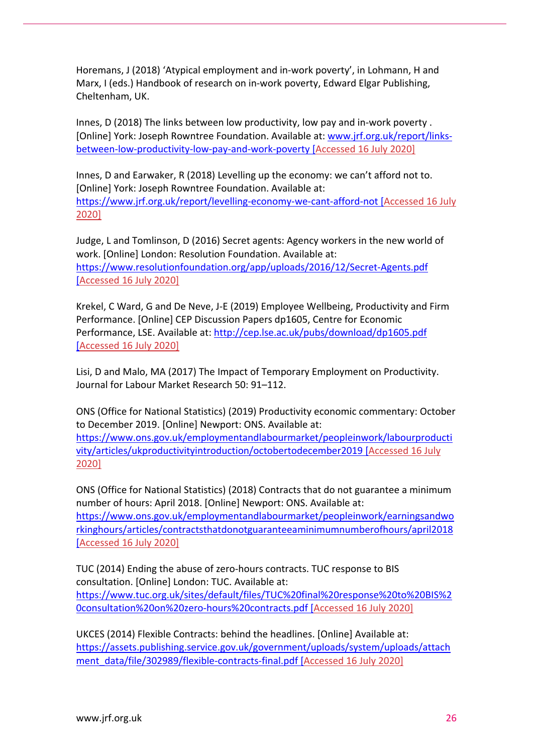Horemans, J (2018) 'Atypical employment and in-work poverty', in Lohmann, H and Marx, I (eds.) Handbook of research on in-work poverty, Edward Elgar Publishing, Cheltenham, UK.

Innes, D (2018) The links between low productivity, low pay and in-work poverty . [Online] York: Joseph Rowntree Foundation. Available at: [www.jrf.org.uk/report/links](http://www.jrf.org.uk/report/links-between-low-productivity-low-pay-and-work-poverty)[between-low-productivity-low-pay-and-work-poverty](http://www.jrf.org.uk/report/links-between-low-productivity-low-pay-and-work-poverty) [Accessed 16 July 2020]

Innes, D and Earwaker, R (2018) Levelling up the economy: we can't afford not to. [Online] York: Joseph Rowntree Foundation. Available at: <https://www.jrf.org.uk/report/levelling-economy-we-cant-afford-not> [Accessed 16 July 2020]

Judge, L and Tomlinson, D (2016) Secret agents: Agency workers in the new world of work. [Online] London: Resolution Foundation. Available at: <https://www.resolutionfoundation.org/app/uploads/2016/12/Secret-Agents.pdf> [Accessed 16 July 2020]

Krekel, C Ward, G and De Neve, J-E (2019) Employee Wellbeing, Productivity and Firm Performance. [Online] CEP Discussion Papers dp1605, Centre for Economic Performance, LSE. Available at:<http://cep.lse.ac.uk/pubs/download/dp1605.pdf> [Accessed 16 July 2020]

Lisi, D and Malo, MA (2017) The Impact of Temporary Employment on Productivity. Journal for Labour Market Research 50: 91–112.

ONS (Office for National Statistics) (2019) Productivity economic commentary: October to December 2019. [Online] Newport: ONS. Available at:

[https://www.ons.gov.uk/employmentandlabourmarket/peopleinwork/labourproducti](https://www.ons.gov.uk/employmentandlabourmarket/peopleinwork/labourproductivity/articles/ukproductivityintroduction/octobertodecember2019) [vity/articles/ukproductivityintroduction/octobertodecember2019](https://www.ons.gov.uk/employmentandlabourmarket/peopleinwork/labourproductivity/articles/ukproductivityintroduction/octobertodecember2019) [Accessed 16 July 2020]

ONS (Office for National Statistics) (2018) Contracts that do not guarantee a minimum number of hours: April 2018. [Online] Newport: ONS. Available at: [https://www.ons.gov.uk/employmentandlabourmarket/peopleinwork/earningsandwo](https://www.ons.gov.uk/employmentandlabourmarket/peopleinwork/earningsandworkinghours/articles/contractsthatdonotguaranteeaminimumnumberofhours/april2018) [rkinghours/articles/contractsthatdonotguaranteeaminimumnumberofhours/april2018](https://www.ons.gov.uk/employmentandlabourmarket/peopleinwork/earningsandworkinghours/articles/contractsthatdonotguaranteeaminimumnumberofhours/april2018) [Accessed 16 July 2020]

TUC (2014) Ending the abuse of zero-hours contracts. TUC response to BIS consultation. [Online] London: TUC. Available at: [https://www.tuc.org.uk/sites/default/files/TUC%20final%20response%20to%20BIS%2](https://www.tuc.org.uk/sites/default/files/TUC%20final%20response%20to%20BIS%20consultation%20on%20zero-hours%20contracts.pdf) [0consultation%20on%20zero-hours%20contracts.pdf](https://www.tuc.org.uk/sites/default/files/TUC%20final%20response%20to%20BIS%20consultation%20on%20zero-hours%20contracts.pdf) [Accessed 16 July 2020]

UKCES (2014) Flexible Contracts: behind the headlines. [Online] Available at: [https://assets.publishing.service.gov.uk/government/uploads/system/uploads/attach](https://assets.publishing.service.gov.uk/government/uploads/system/uploads/attachment_data/file/302989/flexible-contracts-final.pdf) [ment\\_data/file/302989/flexible-contracts-final.pdf](https://assets.publishing.service.gov.uk/government/uploads/system/uploads/attachment_data/file/302989/flexible-contracts-final.pdf) [Accessed 16 July 2020]